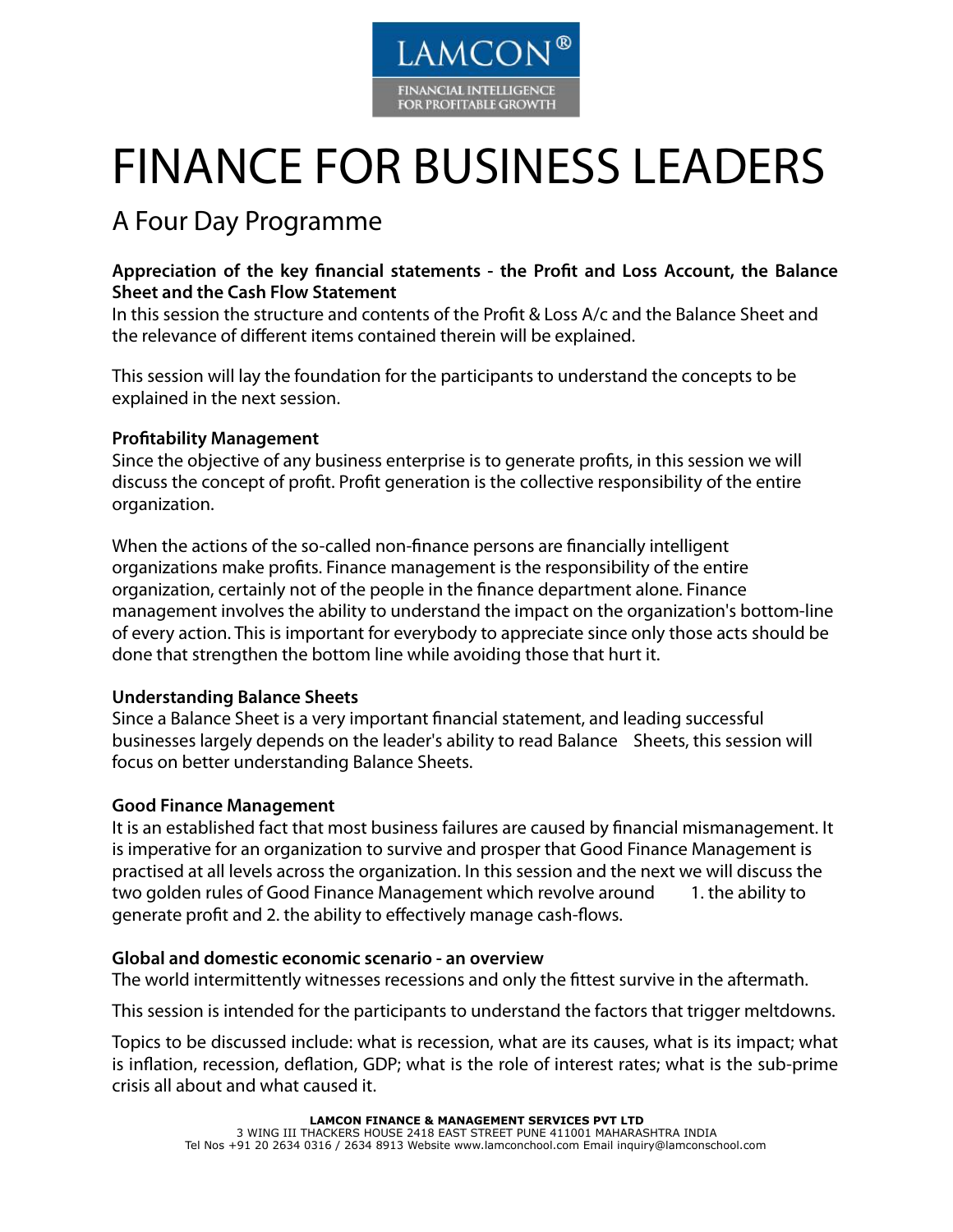

# FINANCE FOR BUSINESS LEADERS

# A Four Day Programme

# **Appreciation of the key financial statements - the Profit and Loss Account, the Balance Sheet and the Cash Flow Statement**

In this session the structure and contents of the Profit & Loss A/c and the Balance Sheet and the relevance of different items contained therein will be explained.

This session will lay the foundation for the participants to understand the concepts to be explained in the next session.

# **Profitability Management**

Since the objective of any business enterprise is to generate profits, in this session we will discuss the concept of profit. Profit generation is the collective responsibility of the entire organization.

When the actions of the so-called non-finance persons are financially intelligent organizations make profits. Finance management is the responsibility of the entire organization, certainly not of the people in the finance department alone. Finance management involves the ability to understand the impact on the organization's bottom-line of every action. This is important for everybody to appreciate since only those acts should be done that strengthen the bottom line while avoiding those that hurt it.

# **Understanding Balance Sheets**

Since a Balance Sheet is a very important financial statement, and leading successful businesses largely depends on the leader's ability to read Balance Sheets, this session will focus on better understanding Balance Sheets.

# **Good Finance Management**

It is an established fact that most business failures are caused by financial mismanagement. It is imperative for an organization to survive and prosper that Good Finance Management is practised at all levels across the organization. In this session and the next we will discuss the two golden rules of Good Finance Management which revolve around 1. the ability to generate profit and 2. the ability to effectively manage cash-flows.

#### **Global and domestic economic scenario - an overview**

The world intermittently witnesses recessions and only the fittest survive in the aftermath.

This session is intended for the participants to understand the factors that trigger meltdowns.

Topics to be discussed include: what is recession, what are its causes, what is its impact; what is inflation, recession, deflation, GDP; what is the role of interest rates; what is the sub-prime crisis all about and what caused it.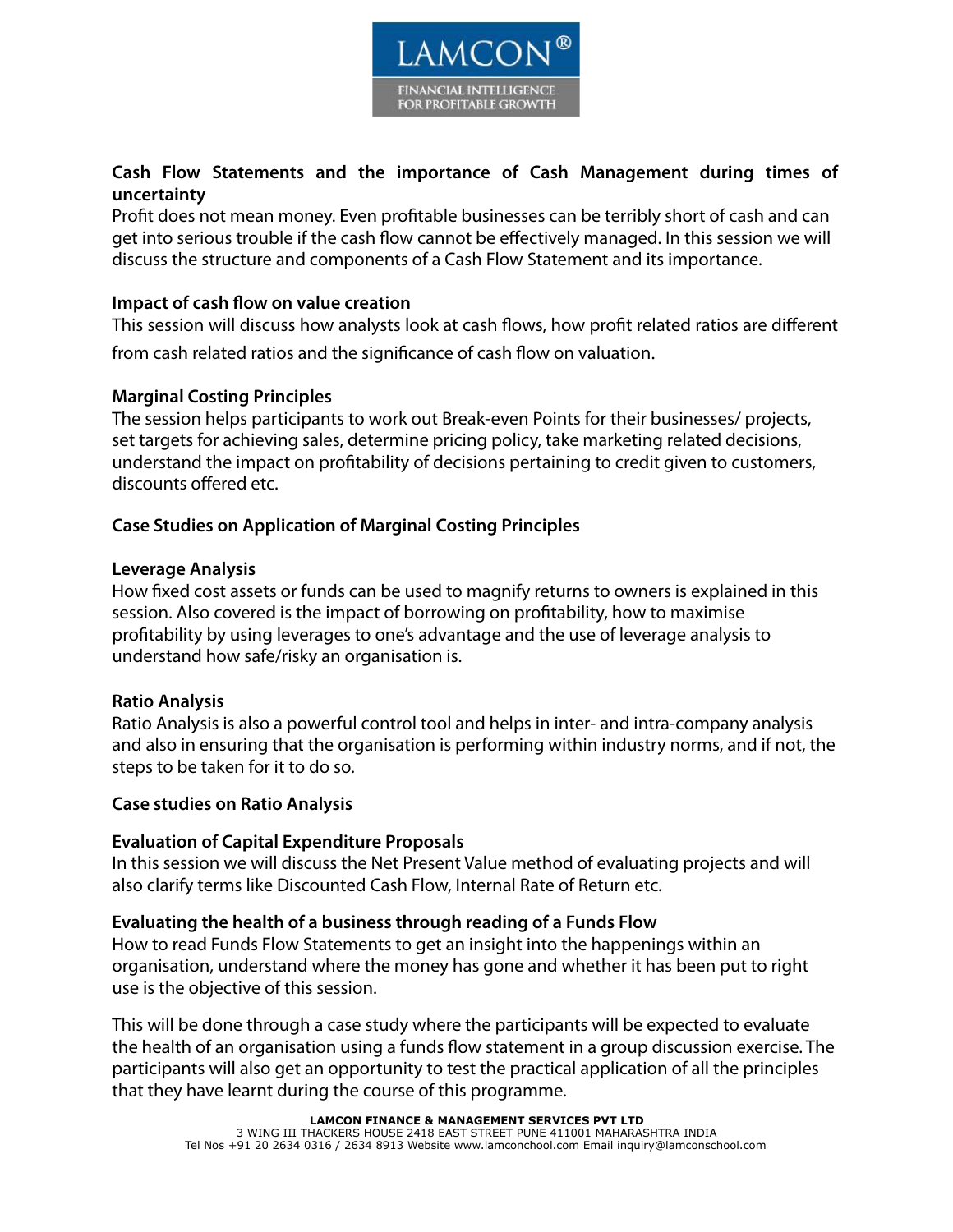

# **Cash Flow Statements and the importance of Cash Management during times of uncertainty**

Profit does not mean money. Even profitable businesses can be terribly short of cash and can get into serious trouble if the cash flow cannot be effectively managed. In this session we will discuss the structure and components of a Cash Flow Statement and its importance.

# **Impact of cash flow on value creation**

This session will discuss how analysts look at cash flows, how profit related ratios are different from cash related ratios and the significance of cash flow on valuation.

# **Marginal Costing Principles**

The session helps participants to work out Break-even Points for their businesses/ projects, set targets for achieving sales, determine pricing policy, take marketing related decisions, understand the impact on profitability of decisions pertaining to credit given to customers, discounts offered etc.

# **Case Studies on Application of Marginal Costing Principles**

#### **Leverage Analysis**

How fixed cost assets or funds can be used to magnify returns to owners is explained in this session. Also covered is the impact of borrowing on profitability, how to maximise profitability by using leverages to one's advantage and the use of leverage analysis to understand how safe/risky an organisation is.

#### **Ratio Analysis**

Ratio Analysis is also a powerful control tool and helps in inter- and intra-company analysis and also in ensuring that the organisation is performing within industry norms, and if not, the steps to be taken for it to do so.

#### **Case studies on Ratio Analysis**

#### **Evaluation of Capital Expenditure Proposals**

In this session we will discuss the Net Present Value method of evaluating projects and will also clarify terms like Discounted Cash Flow, Internal Rate of Return etc.

#### **Evaluating the health of a business through reading of a Funds Flow**

How to read Funds Flow Statements to get an insight into the happenings within an organisation, understand where the money has gone and whether it has been put to right use is the objective of this session.

This will be done through a case study where the participants will be expected to evaluate the health of an organisation using a funds flow statement in a group discussion exercise. The participants will also get an opportunity to test the practical application of all the principles that they have learnt during the course of this programme.